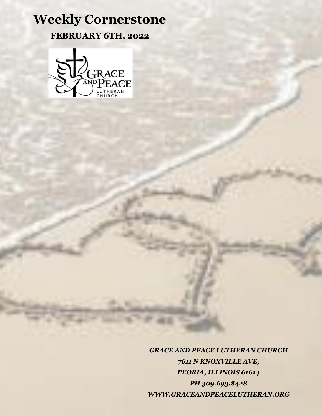## **Weekly Cornerstone FEBRUARY 6TH, 2022**



*GRACE AND PEACE LUTHERAN CHURCH 7611 N KNOXVILLE AVE, PEORIA, ILLINOIS 61614 PH 309.693.8428 WWW.GRACEANDPEACELUTHERAN.ORG*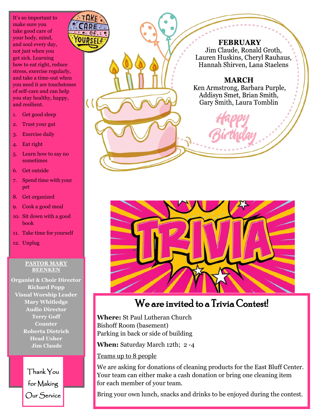It's so important to make sure you take good care of your body, mind, and soul every day, not just when you get sick. Learning how to eat right, reduce stress, exercise regularly, and take a time-out when you need it are touchstones of self-care and can help you stay healthy, happy, and resilient.

- 1. Get good sleep
- 2. Trust your gut
- 3. Exercise daily

4. Eat right

5. Learn how to say no sometimes

6. Get outside

7. Spend time with your pet

8. Get organized

- 9. Cook a good meal
- 10. Sit down with a good book
- 11. Take time for yourself
- 12. Unplug

#### **PASTOR MARY BEENKEN**

**Organist & Choir Director Richard Popp Visual Worship Leader Mary Whitledge Audio Director Terry Goff Counter Roberta Dietrich Head Usher Jim Claude**

> Thank You for Making Our Service



**FEBRUARY** Jim Claude, Ronald Groth, Lauren Huskins, Cheryl Rauhaus, Hannah Shirven, Lana Staelens

**MARCH** 

Ken Armstrong, Barbara Purple, Addisyn Smet, Brian Smith, Gary Smith, Laura Tomblin



### We are invited to a Trivia Contest!

**Where:** St Paul Lutheran Church Bishoff Room (basement) Parking in back or side of building

**When:** Saturday March 12th; 2 -4

Teams up to 8 people

We are asking for donations of cleaning products for the East Bluff Center. Your team can either make a cash donation or bring one cleaning item for each member of your team.

Bring your own lunch, snacks and drinks to be enjoyed during the contest.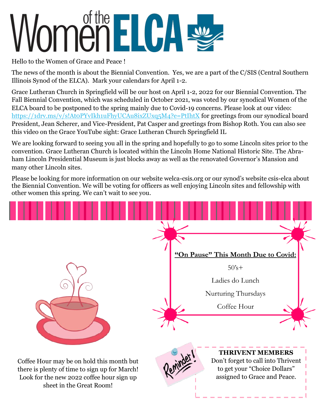# omen ELCA

Hello to the Women of Grace and Peace !

The news of the month is about the Biennial Convention. Yes, we are a part of the C/SIS (Central Southern Illinois Synod of the ELCA). Mark your calendars for April 1-2.

Grace Lutheran Church in Springfield will be our host on April 1-2, 2022 for our Biennial Convention. The Fall Biennial Convention, which was scheduled in October 2021, was voted by our synodical Women of the ELCA board to be postponed to the spring mainly due to Covid-19 concerns. Please look at our video: [https://1drv.ms/v/s!At0PYvIkh1uFhyUCAu8ixZUxq5M4?e=PtIhtX](https://onedrive.live.com/?authkey=%21AAIC7yLFlTGrkzg&cid=855B8724F2620FDD&id=855B8724F2620FDD%21933&parId=root&o=OneUp) for greetings from our synodical board President, Jean Scherer, and Vice-President, Pat Casper and greetings from Bishop Roth. You can also see this video on the Grace YouTube sight: Grace Lutheran Church Springfield IL

We are looking forward to seeing you all in the spring and hopefully to go to some Lincoln sites prior to the convention. Grace Lutheran Church is located within the Lincoln Home National Historic Site. The Abraham Lincoln Presidential Museum is just blocks away as well as the renovated Governor's Mansion and many other Lincoln sites.

Please be looking for more information on our website welca-csis.org or our synod's website csis-elca about the Biennial Convention. We will be voting for officers as well enjoying Lincoln sites and fellowship with other women this spring. We can't wait to see you.

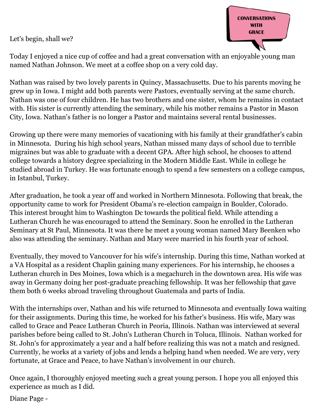Let's begin, shall we?



Today I enjoyed a nice cup of coffee and had a great conversation with an enjoyable young man named Nathan Johnson. We meet at a coffee shop on a very cold day.

Nathan was raised by two lovely parents in Quincy, Massachusetts. Due to his parents moving he grew up in Iowa. I might add both parents were Pastors, eventually serving at the same church. Nathan was one of four children. He has two brothers and one sister, whom he remains in contact with. His sister is currently attending the seminary, while his mother remains a Pastor in Mason City, Iowa. Nathan's father is no longer a Pastor and maintains several rental businesses.

Growing up there were many memories of vacationing with his family at their grandfather's cabin in Minnesota. During his high school years, Nathan missed many days of school due to terrible migraines but was able to graduate with a decent GPA. After high school, he chooses to attend college towards a history degree specializing in the Modern Middle East. While in college he studied abroad in Turkey. He was fortunate enough to spend a few semesters on a college campus, in Istanbul, Turkey.

After graduation, he took a year off and worked in Northern Minnesota. Following that break, the opportunity came to work for President Obama's re-election campaign in Boulder, Colorado. This interest brought him to Washington Dc towards the political field. While attending a Lutheran Church he was encouraged to attend the Seminary. Soon he enrolled in the Lutheran Seminary at St Paul, Minnesota. It was there he meet a young woman named Mary Beenken who also was attending the seminary. Nathan and Mary were married in his fourth year of school.

Eventually, they moved to Vancouver for his wife's internship. During this time, Nathan worked at a VA Hospital as a resident Chaplin gaining many experiences. For his internship, he chooses a Lutheran church in Des Moines, Iowa which is a megachurch in the downtown area. His wife was away in Germany doing her post-graduate preaching fellowship. It was her fellowship that gave them both 6 weeks abroad traveling throughout Guatemala and parts of India.

With the internships over, Nathan and his wife returned to Minnesota and eventually Iowa waiting for their assignments. During this time, he worked for his father's business. His wife, Mary was called to Grace and Peace Lutheran Church in Peoria, Illinois. Nathan was interviewed at several parishes before being called to St. John's Lutheran Church in Toluca, Illinois. Nathan worked for St. John's for approximately a year and a half before realizing this was not a match and resigned. Currently, he works at a variety of jobs and lends a helping hand when needed. We are very, very fortunate, at Grace and Peace, to have Nathan's involvement in our church.

Once again, I thoroughly enjoyed meeting such a great young person. I hope you all enjoyed this experience as much as I did.

Diane Page -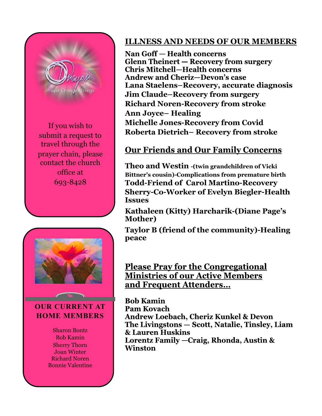

If you wish to submit a request to travel through the prayer chain, please contact the church office at 693-8428



#### **OUR CURRENT AT HOME MEMBERS**

Sharon Bontz Bob Kamin Sherry Thorn Joan Winter Richard Noren Bonnie Valentine

#### **ILLNESS AND NEEDS OF OUR MEMBERS**

Nan Goff – Health concerns **Glenn Theinert – Recovery from surgery Chris Mitchell-Health concerns Andrew and Cheriz-Devon's case Lana Staelens–Recovery, accurate diagnosis Jim Claude–Recovery from surgery Richard Noren-Recovery from stroke Ann Joyce– Healing Michelle Jones-Recovery from Covid Roberta Dietrich– Recovery from stroke**

#### **Our Friends and Our Family Concerns**

**Theo and Westin -(twin grandchildren of Vicki Bittner's cousin)-Complications from premature birth Todd-Friend of Carol Martino-Recovery Sherry-Co-Worker of Evelyn Biegler-Health Issues**

**Kathaleen (Kitty) Harcharik-(Diane Page's Mother)**

**Taylor B (friend of the community)-Healing peace**

**Please Pray for the Congregational Ministries of our Active Members** and Frequent Attenders...

**Bob Kamin Pam Kovach Andrew Loebach, Cheriz Kunkel & Devon** The Livingstons - Scott, Natalie, Tinsley, Liam & Lauren Huskins Lorentz Family - Craig, Rhonda, Austin & **Winston**